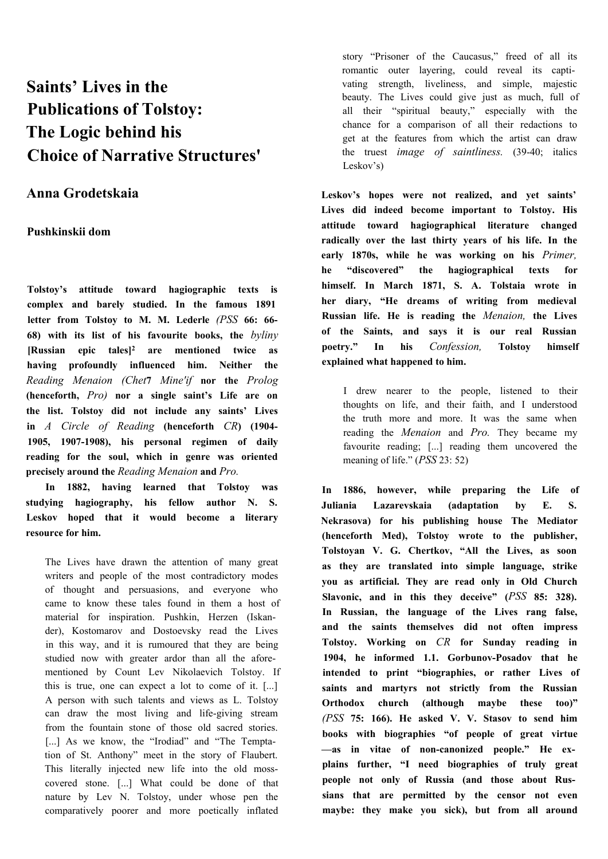# **Saints' Lives in the Publications of Tolstoy: The Logic behind his Choice of Narrative Structures'**

# **Anna Grodetskaia**

## **Pushkinskii dom**

**Tolstoy's attitude toward hagiographic texts is complex and barely studied. In the famous 1891 letter from Tolstoy to М. M. Lederle** *(PSS* **66: 66- 68) with its list of his favourite books, the** *byliny* **[Russian epic tales]2 are mentioned twice as having profoundly influenced him. Neither the** *Reading Menaion (Chet***7** *Mine'if* **nor the** *Prolog* **(henceforth,** *Pro)* **nor a single saint's Life are on the list. Tolstoy did not include any saints' Lives in** *A Circle of Reading* **(henceforth** *CR***) (1904- 1905, 1907-1908), his personal regimen of daily reading for the soul, which in genre was oriented precisely around the** *Reading Menaion* **and** *Pro.*

**In 1882, having learned that Tolstoy was studying hagiography, his fellow author N. S. Leskov hoped that it would become a literary resource for him.**

The Lives have drawn the attention of many great writers and people of the most contradictory modes of thought and persuasions, and everyone who came to know these tales found in them a host of material for inspiration. Pushkin, Herzen (Iskander), Kostomarov and Dostoevsky read the Lives in this way, and it is rumoured that they are being studied now with greater ardor than all the aforementioned by Count Lev Nikolaevich Tolstoy. If this is true, one can expect a lot to come of it. [...] A person with such talents and views as L. Tolstoy can draw the most living and life-giving stream from the fountain stone of those old sacred stories. [...] As we know, the "Irodiad" and "The Temptation of St. Anthony" meet in the story of Flaubert. This literally injected new life into the old mosscovered stone. [...] What could be done of that nature by Lev N. Tolstoy, under whose pen the comparatively poorer and more poetically inflated

story "Prisoner of the Caucasus," freed of all its romantic outer layering, could reveal its captivating strength, liveliness, and simple, majestic beauty. The Lives could give just as much, full of all their "spiritual beauty," especially with the chance for a comparison of all their redactions to get at the features from which the artist can draw the truest *image of saintliness.* (39-40; italics Leskov's)

**Leskov's hopes were not realized, and yet saints' Lives did indeed become important to Tolstoy. His attitude toward hagiographical literature changed radically over the last thirty years of his life. In the early 1870s, while he was working on his** *Primer,* **he "discovered" the hagiographical texts for himself. In March 1871, S. A. Tolstaia wrote in her diary, "He dreams of writing from medieval Russian life. He is reading the** *Menaion,* **the Lives of the Saints, and says it is our real Russian poetry." In his** *Confession,* **Tolstoy himself explained what happened to him.**

I drew nearer to the people, listened to their thoughts on life, and their faith, and I understood the truth more and more. It was the same when reading the *Menaion* and *Pro.* They became my favourite reading; [...] reading them uncovered the meaning of life." (*PSS* 23: 52)

**In 1886, however, while preparing the Life of Juliania Lazarevskaia (adaptation by E. S. Nekrasova) for his publishing house The Mediator (henceforth Med), Tolstoy wrote to the publisher, Tolstoyan V. G. Chertkov, "All the Lives, as soon as they are translated into simple language, strike you as artificial. They are read only in Old Church Slavonic, and in this they deceive" (***PSS* **85: 328). In Russian, the language of the Lives rang false, and the saints themselves did not often impress Tolstoy. Working on** *CR* **for Sunday reading in 1904, he informed 1.1. Gorbunov-Posadov that he intended to print "biographies, or rather Lives of saints and martyrs not strictly from the Russian Orthodox church (although maybe these too)"** *(PSS* **75: 166). He asked V. V. Stasov to send him books with biographies "of people of great virtue —as in vitae of non-canonized people." He explains further, "I need biographies of truly great people not only of Russia (and those about Russians that are permitted by the censor not even maybe: they make you sick), but from all around**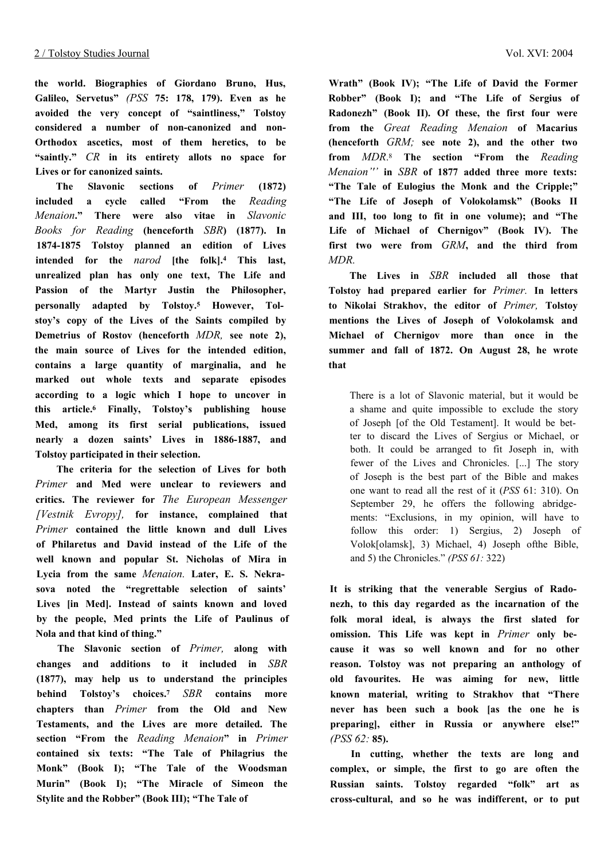**the world. Biographies of Giordano Bruno, Hus, Galileo, Servetus"** *(PSS* **75: 178, 179). Even as he avoided the very concept of "saintliness," Tolstoy considered a number of non-canonized and non-Orthodox ascetics, most of them heretics, to be "saintly."** *CR* **in its entirety allots no space for Lives or for canonized saints.**

**The Slavonic sections of** *Primer* **(1872) included a cycle called "From the** *Reading Menaion***." There were also vitae in** *Slavonic Books for Reading* **(henceforth** *SBR***) (1877). In 1874-1875 Tolstoy planned an edition of Lives intended for the** *narod* **[the folk].4 This last, unrealized plan has only one text, The Life and Passion of the Martyr Justin the Philosopher, personally adapted by Tolstoy.5 However, Tolstoy's copy of the Lives of the Saints compiled by Demetrius of Rostov (henceforth** *MDR,* **see note 2), the main source of Lives for the intended edition, contains a large quantity of marginalia, and he marked out whole texts and separate episodes according to a logic which I hope to uncover in this article.6 Finally, Tolstoy's publishing house Med, among its first serial publications, issued nearly a dozen saints' Lives in 1886-1887, and Tolstoy participated in their selection.**

**The criteria for the selection of Lives for both** *Primer* **and Med were unclear to reviewers and critics. The reviewer for** *The European Messenger [Vestnik Evropy],* **for instance, complained that** *Primer* **contained the little known and dull Lives of Philaretus and David instead of the Life of the well known and popular St. Nicholas of Mira in Lycia from the same** *Menaion.* **Later, E. S. Nekrasova noted the "regrettable selection of saints' Lives [in Med]. Instead of saints known and loved by the people, Med prints the Life of Paulinus of Nola and that kind of thing."**

**The Slavonic section of** *Primer,* **along with changes and additions to it included in** *SBR* **(1877), may help us to understand the principles behind Tolstoy's choices.<sup>7</sup>** *SBR* **contains more chapters than** *Primer* **from the Old and New Testaments, and the Lives are more detailed. The section "From the** *Reading Menaion***" in** *Primer* **contained six texts: "The Tale of Philagrius the Monk" (Book I); "The Tale of the Woodsman Murin" (Book I); "The Miracle of Simeon the Stylite and the Robber" (Book III); "The Tale of**

**Wrath" (Book IV); "The Life of David the Former Robber" (Book I); and "The Life of Sergius of Radonezh" (Book II). Of these, the first four were from the** *Great Reading Menaion* **of Macarius (henceforth** *GRM;* **see note 2), and the other two from** *MDR*. <sup>8</sup> **The section "From the** *Reading Menaion'''* **in** *SBR* **of 1877 added three more texts: "The Tale of Eulogius the Monk and the Cripple;" "The Life of Joseph of Volokolamsk" (Books II and III, too long to fit in one volume); and "The Life of Michael of Chernigov" (Book IV). The first two were from** *GRM***, and the third from** *MDR.*

**The Lives in** *SBR* **included all those that Tolstoy had prepared earlier for** *Primer.* **In letters to Nikolai Strakhov, the editor of** *Primer,* **Tolstoy mentions the Lives of Joseph of Volokolamsk and Michael of Chernigov more than once in the summer and fall of 1872. On August 28, he wrote that**

There is a lot of Slavonic material, but it would be a shame and quite impossible to exclude the story of Joseph [of the Old Testament]. It would be better to discard the Lives of Sergius or Michael, or both. It could be arranged to fit Joseph in, with fewer of the Lives and Chronicles. [...] The story of Joseph is the best part of the Bible and makes one want to read all the rest of it (*PSS* 61: 310). On September 29, he offers the following abridgements: "Exclusions, in my opinion, will have to follow this order: 1) Sergius, 2) Joseph of Volok[olamsk], 3) Michael, 4) Joseph ofthe Bible, and 5) the Chronicles." *(PSS 61:* 322)

**It is striking that the venerable Sergius of Radonezh, to this day regarded as the incarnation of the folk moral ideal, is always the first slated for omission. This Life was kept in** *Primer* **only because it was so well known and for no other reason. Tolstoy was not preparing an anthology of old favourites. He was aiming for new, little known material, writing to Strakhov that "There never has been such a book [as the one he is preparing], either in Russia or anywhere else!"** *(PSS 62:* **85).**

**In cutting, whether the texts are long and complex, or simple, the first to go are often the Russian saints. Tolstoy regarded "folk" art as cross-cultural, and so he was indifferent, or to put**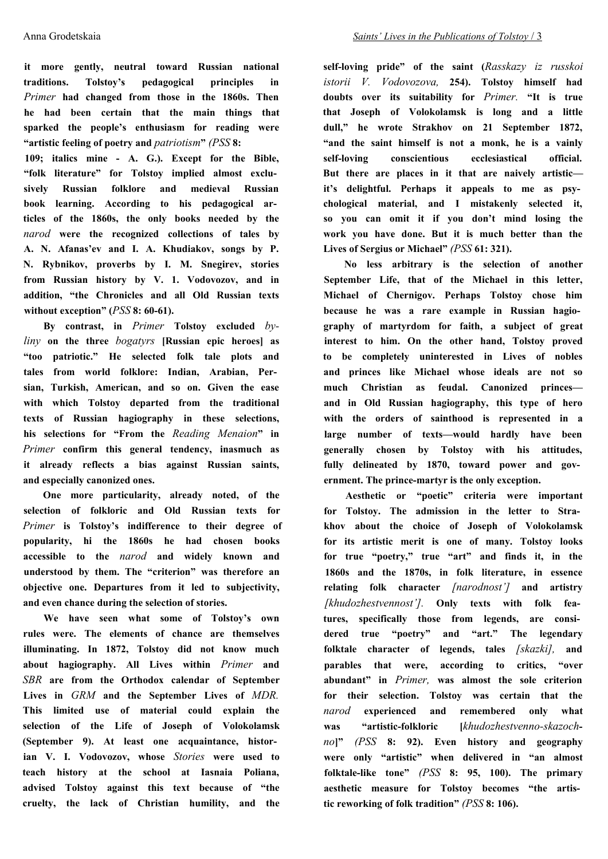**it more gently, neutral toward Russian national traditions. Tolstoy's pedagogical principles in** *Primer* **had changed from those in the 1860s. Then he had been certain that the main things that sparked the people's enthusiasm for reading were "artistic feeling of poetry and** *patriotism***"** *(PSS* **8:**

**109; italics mine - A. G.). Except for the Bible, "folk literature" for Tolstoy implied almost exclusively Russian folklore and medieval Russian book learning. According to his pedagogical articles of the 1860s, the only books needed by the** *narod* **were the recognized collections of tales by A. N. Afanas'ev and I. A. Khudiakov, songs by P. N. Rybnikov, proverbs by I. M. Snegirev, stories from Russian history by V. 1. Vodovozov, and in addition, "the Chronicles and all Old Russian texts without exception" (***PSS* **8: 60-61).**

**By contrast, in** *Primer* **Tolstoy excluded** *byliny* **on the three** *bogatyrs* **[Russian epic heroes] as "too patriotic." He selected folk tale plots and tales from world folklore: Indian, Arabian, Persian, Turkish, American, and so on. Given the ease with which Tolstoy departed from the traditional texts of Russian hagiography in these selections, his selections for "From the** *Reading Menaion***" in** *Primer* **confirm this general tendency, inasmuch as it already reflects a bias against Russian saints, and especially canonized ones.**

**One more particularity, already noted, of the selection of folkloric and Old Russian texts for** *Primer* **is Tolstoy's indifference to their degree of popularity, hi the 1860s he had chosen books accessible to the** *narod* **and widely known and understood by them. The "criterion" was therefore an objective one. Departures from it led to subjectivity, and even chance during the selection of stories.**

**We have seen what some of Tolstoy's own rules were. The elements of chance are themselves illuminating. In 1872, Tolstoy did not know much about hagiography. All Lives within** *Primer* **and** *SBR* **are from the Orthodox calendar of September Lives in** *GRM* **and the September Lives of** *MDR.* **This limited use of material could explain the selection of the Life of Joseph of Volokolamsk (September 9). At least one acquaintance, historian V. I. Vodovozov, whose** *Stories* **were used to teach history at the school at Iasnaia Poliana, advised Tolstoy against this text because of "the cruelty, the lack of Christian humility, and the** **self-loving pride" of the saint (***Rasskazy iz russkoi istorii V. Vodovozova,* **254). Tolstoy himself had doubts over its suitability for** *Primer.* **"It is true that Joseph of Volokolamsk is long and a little dull," he wrote Strakhov on 21 September 1872, "and the saint himself is not a monk, he is a vainly self-loving conscientious ecclesiastical official. But there are places in it that are naively artistic it's delightful. Perhaps it appeals to me as psychological material, and I mistakenly selected it, so you can omit it if you don't mind losing the work you have done. But it is much better than the Lives of Sergius or Michael"** *(PSS* **61: 321).**

**No less arbitrary is the selection of another September Life, that of the Michael in this letter, Michael of Chernigov. Perhaps Tolstoy chose him because he was a rare example in Russian hagiography of martyrdom for faith, a subject of great interest to him. On the other hand, Tolstoy proved to be completely uninterested in Lives of nobles and princes like Michael whose ideals are not so much Christian as feudal. Canonized princes and in Old Russian hagiography, this type of hero with the orders of sainthood is represented in a large number of texts—would hardly have been generally chosen by Tolstoy with his attitudes, fully delineated by 1870, toward power and government. The prince-martyr is the only exception.**

**Aesthetic or "poetic" criteria were important for Tolstoy. The admission in the letter to Strakhov about the choice of Joseph of Volokolamsk for its artistic merit is one of many. Tolstoy looks for true "poetry," true "art" and finds it, in the 1860s and the 1870s, in folk literature, in essence relating folk character** *[narodnost']* **and artistry** *[khudozhestvennost'].* **Only texts with folk features, specifically those from legends, are considered true "poetry" and "art." The legendary folktale character of legends, tales** *[skazki],* **and parables that were, according to critics, "over abundant" in** *Primer,* **was almost the sole criterion for their selection. Tolstoy was certain that the** *narod* **experienced and remembered only what was "artistic-folkloric [***khudozhestvenno-skazoch**no***]"** *(PSS* **8: 92). Even history and geography were only "artistic" when delivered in "an almost folktale-like tone"** *(PSS* **8: 95, 100). The primary aesthetic measure for Tolstoy becomes "the artistic reworking of folk tradition"** *(PSS* **8: 106).**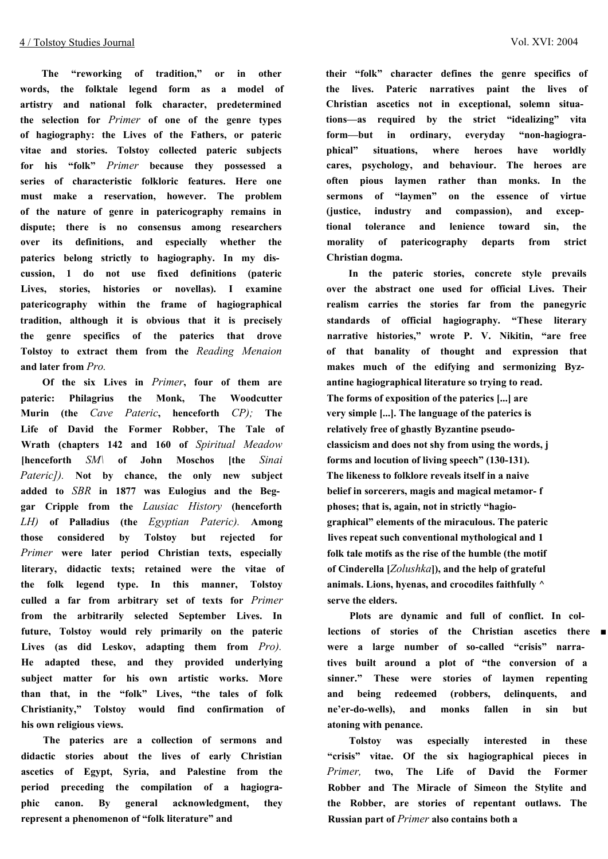**The "reworking of tradition," or in other words, the folktale legend form as a model of artistry and national folk character, predetermined the selection for** *Primer* **of one of the genre types of hagiography: the Lives of the Fathers, or pateric vitae and stories. Tolstoy collected pateric subjects for his "folk"** *Primer* **because they possessed a series of characteristic folkloric features. Here one must make a reservation, however. The problem of the nature of genre in patericography remains in dispute; there is no consensus among researchers over its definitions, and especially whether the paterics belong strictly to hagiography. In my discussion, 1 do not use fixed definitions (pateric Lives, stories, histories or novellas). I examine patericography within the frame of hagiographical tradition, although it is obvious that it is precisely the genre specifics of the paterics that drove Tolstoy to extract them from the** *Reading Menaion* **and later from** *Pro.*

**Of the six Lives in** *Primer***, four of them are pateric: Philagrius the Monk, The Woodcutter Murin (the** *Cave Pateric***, henceforth** *CP);* **The Life of David the Former Robber, The Tale of Wrath (chapters 142 and 160 of** *Spiritual Meadow* **[henceforth** *SM\* **of John Moschos [the** *Sinai Pateric]).* **Not by chance, the only new subject added to** *SBR* **in 1877 was Eulogius and the Beggar Cripple from the** *Lausiac History* **(henceforth** *LH)* **of Palladius (the** *Egyptian Pateric).* **Among those considered by Tolstoy but rejected for** *Primer* **were later period Christian texts, especially literary, didactic texts; retained were the vitae of the folk legend type. In this manner, Tolstoy culled a far from arbitrary set of texts for** *Primer* **from the arbitrarily selected September Lives. In future, Tolstoy would rely primarily on the pateric Lives (as did Leskov, adapting them from** *Pro).* **He adapted these, and they provided underlying subject matter for his own artistic works. More than that, in the "folk" Lives, "the tales of folk Christianity," Tolstoy would find confirmation of his own religious views.**

**The paterics are a collection of sermons and didactic stories about the lives of early Christian ascetics of Egypt, Syria, and Palestine from the period preceding the compilation of a hagiographic canon. By general acknowledgment, they represent a phenomenon of "folk literature" and**

**their "folk" character defines the genre specifics of the lives. Pateric narratives paint the lives of Christian ascetics not in exceptional, solemn situations—as required by the strict "idealizing" vita form—but in ordinary, everyday "non-hagiographical" situations, where heroes have worldly cares, psychology, and behaviour. The heroes are often pious laymen rather than monks. In the sermons of "laymen" on the essence of virtue (justice, industry and compassion), and exceptional tolerance and lenience toward sin, the morality of patericography departs from strict Christian dogma.**

**In the pateric stories, concrete style prevails over the abstract one used for official Lives. Their realism carries the stories far from the panegyric standards of official hagiography. "These literary narrative histories," wrote P. V. Nikitin, "are free of that banality of thought and expression that makes much of the edifying and sermonizing Byzantine hagiographical literature so trying to read. The forms of exposition of the paterics [...] are very simple [...]. The language of the paterics is relatively free of ghastly Byzantine pseudoclassicism and does not shy from using the words, j forms and locution of living speech" (130-131). The likeness to folklore reveals itself in a naive belief in sorcerers, magis and magical metamor- f phoses; that is, again, not in strictly "hagiographical" elements of the miraculous. The pateric lives repeat such conventional mythological and 1 folk tale motifs as the rise of the humble (the motif of Cinderella [***Zolushka***]), and the help of grateful animals. Lions, hyenas, and crocodiles faithfully ^ serve the elders.**

**Plots are dynamic and full of conflict. In collections of stories of the Christian ascetics there ■ were a large number of so-called "crisis" narratives built around a plot of "the conversion of a sinner." These were stories of laymen repenting and being redeemed (robbers, delinquents, and ne'er-do-wells), and monks fallen in sin but atoning with penance.**

**Tolstoy was especially interested in these "crisis" vitae. Of the six hagiographical pieces in** *Primer,* **two, The Life of David the Former Robber and The Miracle of Simeon the Stylite and the Robber, are stories of repentant outlaws. The Russian part of** *Primer* **also contains both a**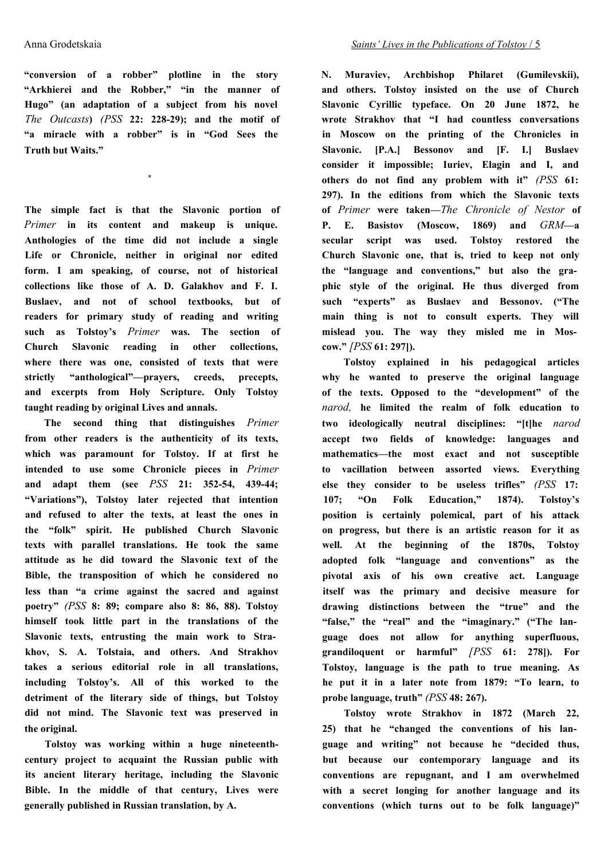**"conversion of a robber" plotline in the story "Arkhierei and the Robber," "in the manner of Hugo" (an adaptation of a subject from his novel** *The Outcasts***)** *(PSS* **22: 228-29); and the motif of "a miracle with a robber" is in "God Sees the Truth but Waits."**

**\***

**The simple fact is that the Slavonic portion of** *Primer* **in its content and makeup is unique. Anthologies of the time did not include a single Life or Chronicle, neither in original nor edited form. I am speaking, of course, not of historical collections like those of A. D. Galakhov and F. I. Buslaev, and not of school textbooks, but of readers for primary study of reading and writing such as Tolstoy's** *Primer* **was. The section of Church Slavonic reading in other collections, where there was one, consisted of texts that were strictly "anthological"—prayers, creeds, precepts, and excerpts from Holy Scripture. Only Tolstoy taught reading by original Lives and annals.**

**The second thing that distinguishes** *Primer* **from other readers is the authenticity of its texts, which was paramount for Tolstoy. If at first he intended to use some Chronicle pieces in** *Primer* **and adapt them (see** *PSS* **21: 352-54, 439-44; "Variations"), Tolstoy later rejected that intention and refused to alter the texts, at least the ones in the "folk" spirit. He published Church Slavonic texts with parallel translations. He took the same attitude as he did toward the Slavonic text of the Bible, the transposition of which he considered no less than "a crime against the sacred and against poetry"** *(PSS* **8: 89; compare also 8: 86, 88). Tolstoy himself took little part in the translations of the Slavonic texts, entrusting the main work to Strakhov, S. A. Tolstaia, and others. And Strakhov takes a serious editorial role in all translations, including Tolstoy's. All of this worked to the detriment of the literary side of things, but Tolstoy did not mind. The Slavonic text was preserved in the original.**

**Tolstoy was working within a huge nineteenthcentury project to acquaint the Russian public with its ancient literary heritage, including the Slavonic Bible. In the middle of that century, Lives were generally published in Russian translation, by A.**

**N. Muraviev, Archbishop Philaret (Gumilevskii), and others. Tolstoy insisted on the use of Church Slavonic Cyrillic typeface. On 20 June 1872, he wrote Strakhov that "I had countless conversations in Moscow on the printing of the Chronicles in Slavonic. [P.A.] Bessonov and [F. I.] Buslaev consider it impossible; Iuriev, Elagin and I, and others do not find any problem with it"** *(PSS* **61: 297). In the editions from which the Slavonic texts of** *Primer* **were taken—***The Chronicle of Nestor* **of P. E. Basistov (Moscow, 1869) and** *GRM***—a secular script was used. Tolstoy restored the Church Slavonic one, that is, tried to keep not only the "language and conventions," but also the graphic style of the original. He thus diverged from such "experts" as Buslaev and Bessonov. ("The main thing is not to consult experts. They will mislead you. The way they misled me in Moscow."** *[PSS* **61: 297]).**

**Tolstoy explained in his pedagogical articles why he wanted to preserve the original language of the texts. Opposed to the "development" of the** *narod,* **he limited the realm of folk education to two ideologically neutral disciplines: "[t]he** *narod* **accept two fields of knowledge: languages and mathematics—the most exact and not susceptible to vacillation between assorted views. Everything else they consider to be useless trifles"** *(PSS* **17: 107; "On Folk Education," 1874). Tolstoy's position is certainly polemical, part of his attack on progress, but there is an artistic reason for it as well. At the beginning of the 1870s, Tolstoy adopted folk "language and conventions" as the pivotal axis of his own creative act. Language itself was the primary and decisive measure for drawing distinctions between the "true" and the "false," the "real" and the "imaginary." ("The language does not allow for anything superfluous, grandiloquent or harmful"** *[PSS* **61: 278]). For Tolstoy, language is the path to true meaning. As he put it in a later note from 1879: "To learn, to probe language, truth"** *(PSS* **48: 267).**

**Tolstoy wrote Strakhov in 1872 (March 22, 25) that he "changed the conventions of his language and writing" not because he "decided thus, but because our contemporary language and its conventions are repugnant, and I am overwhelmed with a secret longing for another language and its conventions (which turns out to be folk language)"**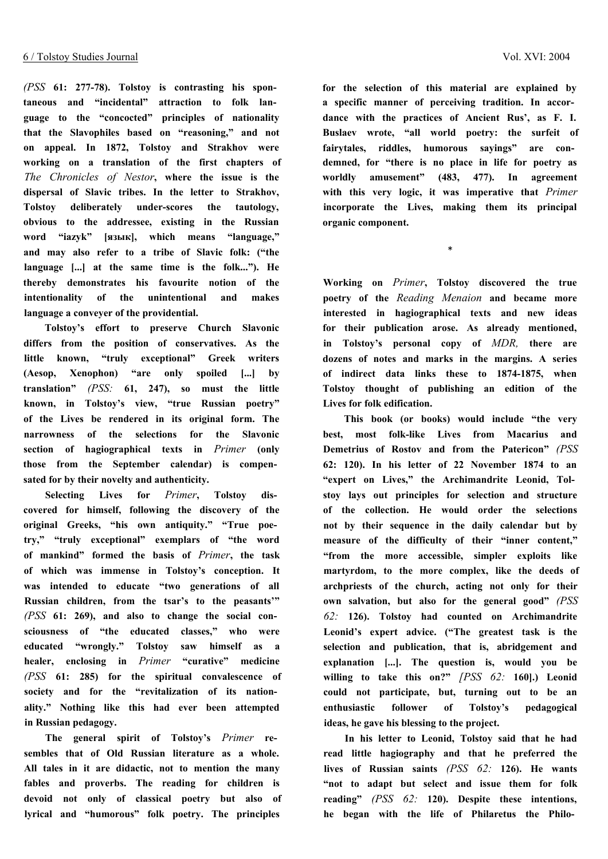*(PSS* **61: 277-78). Tolstoy is contrasting his spontaneous and "incidental" attraction to folk language to the "concocted" principles of nationality that the Slavophiles based on "reasoning," and not on appeal. In 1872, Tolstoy and Strakhov were working on a translation of the first chapters of** *The Chronicles of Nestor***, where the issue is the dispersal of Slavic tribes. In the letter to Strakhov, Tolstoy deliberately under-scores the tautology, obvious to the addressee, existing in the Russian word "iazyk" [язык], which means "language," and may also refer to a tribe of Slavic folk: ("the language [...] at the same time is the folk..."). He thereby demonstrates his favourite notion of the intentionality of the unintentional and makes language a conveyer of the providential.**

**Tolstoy's effort to preserve Church Slavonic differs from the position of conservatives. As the little known, "truly exceptional" Greek writers (Aesop, Xenophon) "are only spoiled [...] by translation"** *(PSS:* **61, 247), so must the little known, in Tolstoy's view, "true Russian poetry" of the Lives be rendered in its original form. The narrowness of the selections for the Slavonic section of hagiographical texts in** *Primer* **(only those from the September calendar) is compensated for by their novelty and authenticity.**

**Selecting Lives for** *Primer***, Tolstoy discovered for himself, following the discovery of the original Greeks, "his own antiquity." "True poetry," "truly exceptional" exemplars of "the word of mankind" formed the basis of** *Primer***, the task of which was immense in Tolstoy's conception. It was intended to educate "two generations of all Russian children, from the tsar's to the peasants'"** *(PSS* **61: 269), and also to change the social consciousness of "the educated classes," who were educated "wrongly." Tolstoy saw himself as a healer, enclosing in** *Primer* **"curative" medicine** *(PSS* **61: 285) for the spiritual convalescence of society and for the "revitalization of its nationality." Nothing like this had ever been attempted in Russian pedagogy.**

**The general spirit of Tolstoy's** *Primer* **resembles that of Old Russian literature as a whole. All tales in it are didactic, not to mention the many fables and proverbs. The reading for children is devoid not only of classical poetry but also of lyrical and "humorous" folk poetry. The principles**

**for the selection of this material are explained by a specific manner of perceiving tradition. In accordance with the practices of Ancient Rus', as F. I. Buslaev wrote, "all world poetry: the surfeit of fairytales, riddles, humorous sayings" are condemned, for "there is no place in life for poetry as worldly amusement" (483, 477). In agreement with this very logic, it was imperative that** *Primer* **incorporate the Lives, making them its principal organic component.**

\*

**Working on** *Primer***, Tolstoy discovered the true poetry of the** *Reading Menaion* **and became more interested in hagiographical texts and new ideas for their publication arose. As already mentioned, in Tolstoy's personal copy of** *MDR,* **there are dozens of notes and marks in the margins. A series of indirect data links these to 1874-1875, when Tolstoy thought of publishing an edition of the Lives for folk edification.**

**This book (or books) would include "the very best, most folk-like Lives from Macarius and Demetrius of Rostov and from the Patericon"** *(PSS* **62: 120). In his letter of 22 November 1874 to an "expert on Lives," the Archimandrite Leonid, Tolstoy lays out principles for selection and structure of the collection. He would order the selections not by their sequence in the daily calendar but by measure of the difficulty of their "inner content," "from the more accessible, simpler exploits like martyrdom, to the more complex, like the deeds of archpriests of the church, acting not only for their own salvation, but also for the general good"** *(PSS 62:* **126). Tolstoy had counted on Archimandrite Leonid's expert advice. ("The greatest task is the selection and publication, that is, abridgement and explanation [...]. The question is, would you be willing to take this on?"** *[PSS 62:* **160].) Leonid could not participate, but, turning out to be an enthusiastic follower of Tolstoy's pedagogical ideas, he gave his blessing to the project.**

**In his letter to Leonid, Tolstoy said that he had read little hagiography and that he preferred the lives of Russian saints** *(PSS 62:* **126). He wants "not to adapt but select and issue them for folk reading"** *(PSS 62:* **120). Despite these intentions, he began with the life of Philaretus the Philo**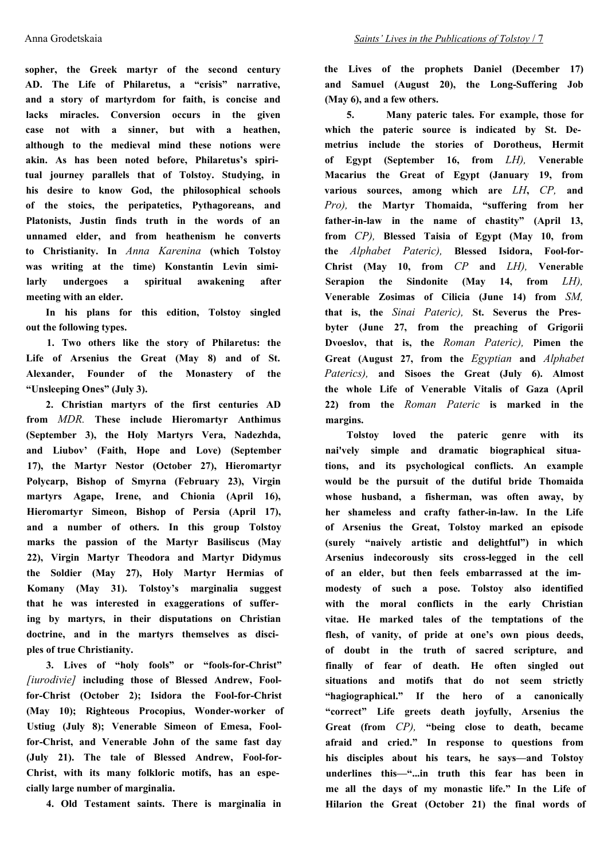**sopher, the Greek martyr of the second century AD. The Life of Philaretus, a "crisis" narrative, and a story of martyrdom for faith, is concise and lacks miracles. Conversion occurs in the given case not with a sinner, but with a heathen, although to the medieval mind these notions were akin. As has been noted before, Philaretus's spiritual journey parallels that of Tolstoy. Studying, in his desire to know God, the philosophical schools of the stoics, the peripatetics, Pythagoreans, and Platonists, Justin finds truth in the words of an unnamed elder, and from heathenism he converts to Christianity. In** *Anna Karenina* **(which Tolstoy was writing at the time) Konstantin Levin similarly undergoes a spiritual awakening after meeting with an elder.**

**In his plans for this edition, Tolstoy singled out the following types.**

**1. Two others like the story of Philaretus: the Life of Arsenius the Great (May 8) and of St. Alexander, Founder of the Monastery of the "Unsleeping Ones" (July 3).**

**2. Christian martyrs of the first centuries AD from** *MDR.* **These include Hieromartyr Anthimus (September 3), the Holy Martyrs Vera, Nadezhda, and Liubov' (Faith, Hope and Love) (September 17), the Martyr Nestor (October 27), Hieromartyr Polycarp, Bishop of Smyrna (February 23), Virgin martyrs Agape, Irene, and Chionia (April 16), Hieromartyr Simeon, Bishop of Persia (April 17), and a number of others. In this group Tolstoy marks the passion of the Martyr Basiliscus (May 22), Virgin Martyr Theodora and Martyr Didymus the Soldier (May 27), Holy Martyr Hermias of Komany (May 31). Tolstoy's marginalia suggest that he was interested in exaggerations of suffering by martyrs, in their disputations on Christian doctrine, and in the martyrs themselves as disciples of true Christianity.**

**3. Lives of "holy fools" or "fools-for-Christ"** *[iurodivie]* **including those of Blessed Andrew, Foolfor-Christ (October 2); Isidora the Fool-for-Christ (May 10); Righteous Procopius, Wonder-worker of Ustiug (July 8); Venerable Simeon of Emesa, Foolfor-Christ, and Venerable John of the same fast day (July 21). The tale of Blessed Andrew, Fool-for-Christ, with its many folkloric motifs, has an especially large number of marginalia.**

**4. Old Testament saints. There is marginalia in**

**the Lives of the prophets Daniel (December 17) and Samuel (August 20), the Long-Suffering Job (May 6), and a few others.**

**5. Many pateric tales. For example, those for which the pateric source is indicated by St. Demetrius include the stories of Dorotheus, Hermit of Egypt (September 16, from** *LH),* **Venerable Macarius the Great of Egypt (January 19, from various sources, among which are** *LH***,** *CP,* **and** *Pro),* **the Martyr Thomaida, "suffering from her father-in-law in the name of chastity" (April 13, from** *CP),* **Blessed Taisia of Egypt (May 10, from the** *Alphabet Pateric),* **Blessed Isidora, Fool-for-Christ (May 10, from** *CP* **and** *LH),* **Venerable Serapion the Sindonite (May 14, from** *LH),* **Venerable Zosimas of Cilicia (June 14) from** *SM,* **that is, the** *Sinai Pateric),* **St. Severus the Presbyter (June 27, from the preaching of Grigorii Dvoeslov, that is, the** *Roman Pateric),* **Pimen the Great (August 27, from the** *Egyptian* **and** *Alphabet Paterics),* **and Sisoes the Great (July 6). Almost the whole Life of Venerable Vitalis of Gaza (April 22) from the** *Roman Pateric* **is marked in the margins.**

**Tolstoy loved the pateric genre with its nai'vely simple and dramatic biographical situations, and its psychological conflicts. An example would be the pursuit of the dutiful bride Thomaida whose husband, a fisherman, was often away, by her shameless and crafty father-in-law. In the Life of Arsenius the Great, Tolstoy marked an episode (surely "naively artistic and delightful") in which Arsenius indecorously sits cross-legged in the cell of an elder, but then feels embarrassed at the immodesty of such a pose. Tolstoy also identified with the moral conflicts in the early Christian vitae. He marked tales of the temptations of the flesh, of vanity, of pride at one's own pious deeds, of doubt in the truth of sacred scripture, and finally of fear of death. He often singled out situations and motifs that do not seem strictly "hagiographical." If the hero of a canonically "correct" Life greets death joyfully, Arsenius the Great (from** *CP),* **"being close to death, became afraid and cried." In response to questions from his disciples about his tears, he says—and Tolstoy underlines this—"...in truth this fear has been in me all the days of my monastic life." In the Life of Hilarion the Great (October 21) the final words of**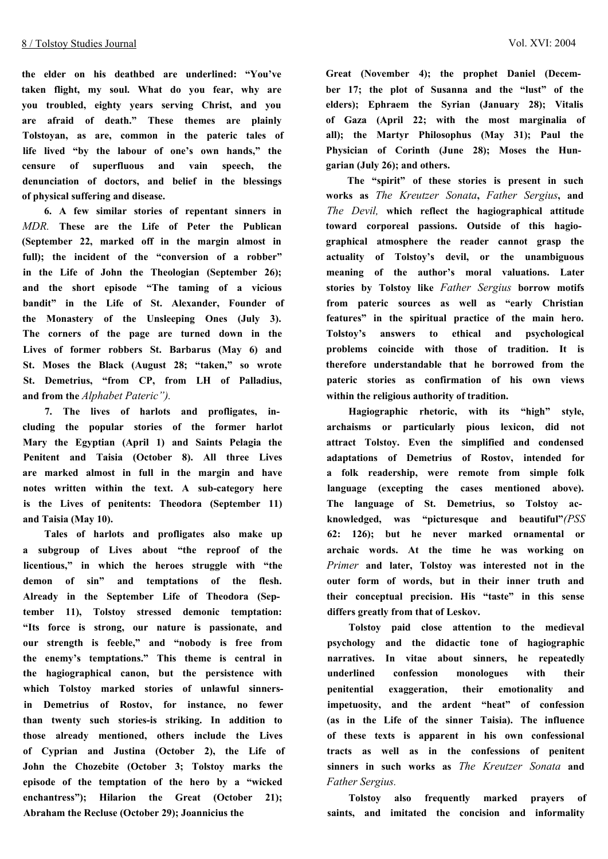**the elder on his deathbed are underlined: "You've taken flight, my soul. What do you fear, why are you troubled, eighty years serving Christ, and you are afraid of death." These themes are plainly Tolstoyan, as are, common in the pateric tales of life lived "by the labour of one's own hands," the censure of superfluous and vain speech, the denunciation of doctors, and belief in the blessings of physical suffering and disease.**

**6. A few similar stories of repentant sinners in** *MDR.* **These are the Life of Peter the Publican (September 22, marked off in the margin almost in full); the incident of the "conversion of a robber" in the Life of John the Theologian (September 26); and the short episode "The taming of a vicious bandit" in the Life of St. Alexander, Founder of the Monastery of the Unsleeping Ones (July 3). The corners of the page are turned down in the Lives of former robbers St. Barbarus (May 6) and St. Moses the Black (August 28; "taken," so wrote St. Demetrius, "from CP, from LH of Palladius, and from the** *Alphabet Pateric").*

**7. The lives of harlots and profligates, including the popular stories of the former harlot Mary the Egyptian (April 1) and Saints Pelagia the Penitent and Taisia (October 8). All three Lives are marked almost in full in the margin and have notes written within the text. A sub-category here is the Lives of penitents: Theodora (September 11) and Taisia (May 10).**

**Tales of harlots and profligates also make up a subgroup of Lives about "the reproof of the licentious," in which the heroes struggle with "the demon of sin" and temptations of the flesh. Already in the September Life of Theodora (September 11), Tolstoy stressed demonic temptation: "Its force is strong, our nature is passionate, and our strength is feeble," and "nobody is free from the enemy's temptations." This theme is central in the hagiographical canon, but the persistence with which Tolstoy marked stories of unlawful sinnersin Demetrius of Rostov, for instance, no fewer than twenty such stories-is striking. In addition to those already mentioned, others include the Lives of Cyprian and Justina (October 2), the Life of John the Chozebite (October 3; Tolstoy marks the episode of the temptation of the hero by a "wicked enchantress"); Hilarion the Great (October 21); Abraham the Recluse (October 29); Joannicius the**

**Great (November 4); the prophet Daniel (December 17; the plot of Susanna and the "lust" of the elders); Ephraem the Syrian (January 28); Vitalis of Gaza (April 22; with the most marginalia of all); the Martyr Philosophus (May 31); Paul the Physician of Corinth (June 28); Moses the Hungarian (July 26); and others.**

**The "spirit" of these stories is present in such works as** *The Kreutzer Sonata***,** *Father Sergius***, and** *The Devil,* **which reflect the hagiographical attitude toward corporeal passions. Outside of this hagiographical atmosphere the reader cannot grasp the actuality of Tolstoy's devil, or the unambiguous meaning of the author's moral valuations. Later stories by Tolstoy like** *Father Sergius* **borrow motifs from pateric sources as well as "early Christian features" in the spiritual practice of the main hero. Tolstoy's answers to ethical and psychological problems coincide with those of tradition. It is therefore understandable that he borrowed from the pateric stories as confirmation of his own views within the religious authority of tradition.**

**Hagiographic rhetoric, with its "high" style, archaisms or particularly pious lexicon, did not attract Tolstoy. Even the simplified and condensed adaptations of Demetrius of Rostov, intended for a folk readership, were remote from simple folk language (excepting the cases mentioned above). The language of St. Demetrius, so Tolstoy acknowledged, was "picturesque and beautiful"***(PSS* **62: 126); but he never marked ornamental or archaic words. At the time he was working on** *Primer* **and later, Tolstoy was interested not in the outer form of words, but in their inner truth and their conceptual precision. His "taste" in this sense differs greatly from that of Leskov.**

**Tolstoy paid close attention to the medieval psychology and the didactic tone of hagiographic narratives. In vitae about sinners, he repeatedly underlined confession monologues with their penitential exaggeration, their emotionality and impetuosity, and the ardent "heat" of confession (as in the Life of the sinner Taisia). The influence of these texts is apparent in his own confessional tracts as well as in the confessions of penitent sinners in such works as** *The Kreutzer Sonata* **and** *Father Sergius.*

**Tolstoy also frequently marked prayers of saints, and imitated the concision and informality**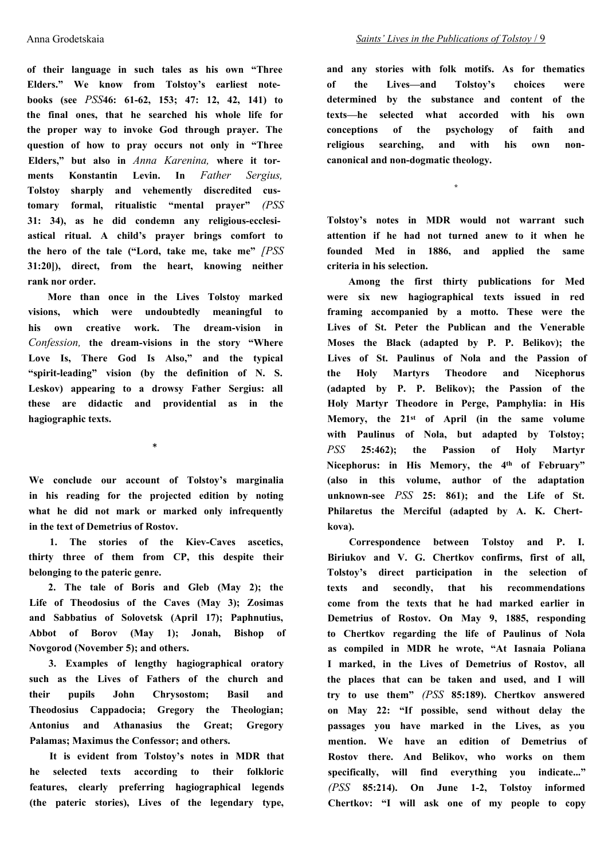**of their language in such tales as his own "Three Elders." We know from Tolstoy's earliest notebooks (see** *PSS***46: 61-62, 153; 47: 12, 42, 141) to the final ones, that he searched his whole life for the proper way to invoke God through prayer. The question of how to pray occurs not only in "Three Elders," but also in** *Anna Karenina,* **where it torments Konstantin Levin. In** *Father Sergius,* **Tolstoy sharply and vehemently discredited customary formal, ritualistic "mental prayer"** *(PSS* **31: 34), as he did condemn any religious-ecclesiastical ritual. A child's prayer brings comfort to the hero of the tale ("Lord, take me, take me"** *[PSS* **31:20]), direct, from the heart, knowing neither rank nor order.**

**More than once in the Lives Tolstoy marked visions, which were undoubtedly meaningful to his own creative work. The dream-vision in** *Confession,* **the dream-visions in the story "Where Love Is, There God Is Also," and the typical "spirit-leading" vision (by the definition of N. S. Leskov) appearing to a drowsy Father Sergius: all these are didactic and providential as in the hagiographic texts.**

\*

**We conclude our account of Tolstoy's marginalia in his reading for the projected edition by noting what he did not mark or marked only infrequently in the text of Demetrius of Rostov.**

**1. The stories of the Kiev-Caves ascetics, thirty three of them from CP, this despite their belonging to the pateric genre.**

**2. The tale of Boris and Gleb (May 2); the Life of Theodosius of the Caves (May 3); Zosimas and Sabbatius of Solovetsk (April 17); Paphnutius, Abbot of Borov (May 1); Jonah, Bishop of Novgorod (November 5); and others.**

**3. Examples of lengthy hagiographical oratory such as the Lives of Fathers of the church and their pupils John Chrysostom; Basil and Theodosius Cappadocia; Gregory the Theologian; Antonius and Athanasius the Great; Gregory Palamas; Maximus the Confessor; and others.**

**It is evident from Tolstoy's notes in MDR that he selected texts according to their folkloric features, clearly preferring hagiographical legends (the pateric stories), Lives of the legendary type,** **and any stories with folk motifs. As for thematics of the Lives—and Tolstoy's choices were determined by the substance and content of the texts—he selected what accorded with his own conceptions of the psychology of faith and religious searching, and with his own noncanonical and non-dogmatic theology.**

**\***

**Tolstoy's notes in MDR would not warrant such attention if he had not turned anew to it when he founded Med in 1886, and applied the same criteria in his selection.**

**Among the first thirty publications for Med were six new hagiographical texts issued in red framing accompanied by a motto. These were the Lives of St. Peter the Publican and the Venerable Moses the Black (adapted by P. P. Belikov); the Lives of St. Paulinus of Nola and the Passion of the Holy Martyrs Theodore and Nicephorus (adapted by P. P. Belikov); the Passion of the Holy Martyr Theodore in Perge, Pamphylia: in His Memory, the 21st of April (in the same volume with Paulinus of Nola, but adapted by Tolstoy;** *PSS* **25:462); the Passion of Holy Martyr Nicephorus: in His Memory, the 4th of February" (also in this volume, author of the adaptation unknown-see** *PSS* **25: 861); and the Life of St. Philaretus the Merciful (adapted by A. K. Chertkova).**

**Correspondence between Tolstoy and P. I. Biriukov and V. G. Chertkov confirms, first of all, Tolstoy's direct participation in the selection of texts and secondly, that his recommendations come from the texts that he had marked earlier in Demetrius of Rostov. On May 9, 1885, responding to Chertkov regarding the life of Paulinus of Nola as compiled in MDR he wrote, "At Iasnaia Poliana I marked, in the Lives of Demetrius of Rostov, all the places that can be taken and used, and I will try to use them"** *(PSS* **85:189). Chertkov answered on May 22: "If possible, send without delay the passages you have marked in the Lives, as you mention. We have an edition of Demetrius of Rostov there. And Belikov, who works on them specifically, will find everything you indicate..."** *(PSS* **85:214). On June 1-2, Tolstoy informed Chertkov: "I will ask one of my people to copy**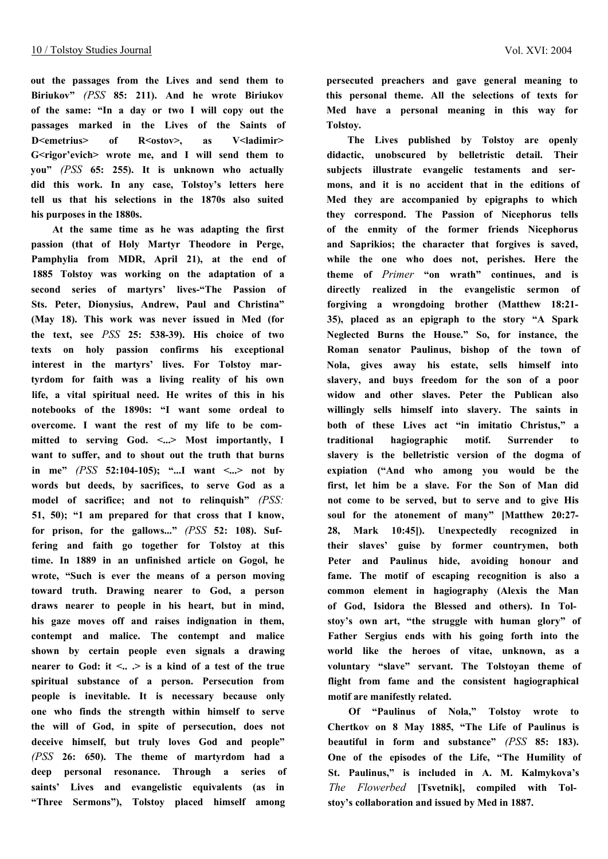**out the passages from the Lives and send them to Biriukov"** *(PSS* **85: 211). And he wrote Biriukov of the same: "In a day or two I will copy out the passages marked in the Lives of the Saints of** D<emetrius> of R<ostov>, as V<ladimir> **G<rigor'evich> wrote me, and I will send them to you"** *(PSS* **65: 255). It is unknown who actually did this work. In any case, Tolstoy's letters here tell us that his selections in the 1870s also suited his purposes in the 1880s.**

**At the same time as he was adapting the first passion (that of Holy Martyr Theodore in Perge, Pamphylia from MDR, April 21), at the end of 1885 Tolstoy was working on the adaptation of a second series of martyrs' lives-"The Passion of Sts. Peter, Dionysius, Andrew, Paul and Christina" (May 18). This work was never issued in Med (for the text, see** *PSS* **25: 538-39). His choice of two texts on holy passion confirms his exceptional interest in the martyrs' lives. For Tolstoy martyrdom for faith was a living reality of his own life, a vital spiritual need. He writes of this in his notebooks of the 1890s: "I want some ordeal to overcome. I want the rest of my life to be com**mitted to serving God. <...> Most importantly, I **want to suffer, and to shout out the truth that burns** in me"  $(PSS$  52:104-105); "...I want <...> not by **words but deeds, by sacrifices, to serve God as a model of sacrifice; and not to relinquish"** *(PSS:* **51, 50); "1 am prepared for that cross that I know, for prison, for the gallows..."** *(PSS* **52: 108). Suffering and faith go together for Tolstoy at this time. In 1889 in an unfinished article on Gogol, he wrote, "Such is ever the means of a person moving toward truth. Drawing nearer to God, a person draws nearer to people in his heart, but in mind, his gaze moves off and raises indignation in them, contempt and malice. The contempt and malice shown by certain people even signals a drawing nearer to God: it**  $\leq$ **.**  $>$  **is a kind of a test of the true spiritual substance of a person. Persecution from people is inevitable. It is necessary because only one who finds the strength within himself to serve the will of God, in spite of persecution, does not deceive himself, but truly loves God and people"** *(PSS* **26: 650). The theme of martyrdom had a deep personal resonance. Through a series of saints' Lives and evangelistic equivalents (as in "Three Sermons"), Tolstoy placed himself among**

**persecuted preachers and gave general meaning to this personal theme. All the selections of texts for Med have a personal meaning in this way for Tolstoy.**

**The Lives published by Tolstoy are openly didactic, unobscured by belletristic detail. Their subjects illustrate evangelic testaments and sermons, and it is no accident that in the editions of Med they are accompanied by epigraphs to which they correspond. The Passion of Nicephorus tells of the enmity of the former friends Nicephorus and Saprikios; the character that forgives is saved, while the one who does not, perishes. Here the theme of** *Primer* **"on wrath" continues, and is directly realized in the evangelistic sermon of forgiving a wrongdoing brother (Matthew 18:21- 35), placed as an epigraph to the story "A Spark Neglected Burns the House." So, for instance, the Roman senator Paulinus, bishop of the town of Nola, gives away his estate, sells himself into slavery, and buys freedom for the son of a poor widow and other slaves. Peter the Publican also willingly sells himself into slavery. The saints in both of these Lives act "in imitatio Christus," a traditional hagiographic motif. Surrender to slavery is the belletristic version of the dogma of expiation ("And who among you would be the first, let him be a slave. For the Son of Man did not come to be served, but to serve and to give His soul for the atonement of many" [Matthew 20:27- 28, Mark 10:45]). Unexpectedly recognized in their slaves' guise by former countrymen, both Peter and Paulinus hide, avoiding honour and fame. The motif of escaping recognition is also a common element in hagiography (Alexis the Man of God, Isidora the Blessed and others). In Tolstoy's own art, "the struggle with human glory" of Father Sergius ends with his going forth into the world like the heroes of vitae, unknown, as a voluntary "slave" servant. The Tolstoyan theme of flight from fame and the consistent hagiographical motif are manifestly related.**

**Of "Paulinus of Nola," Tolstoy wrote to Chertkov on 8 May 1885, "The Life of Paulinus is beautiful in form and substance"** *(PSS* **85: 183). One of the episodes of the Life, "The Humility of St. Paulinus," is included in A. M. Kalmykova's** *The Flowerbed* **[Tsvetnik], compiled with Tolstoy's collaboration and issued by Med in 1887.**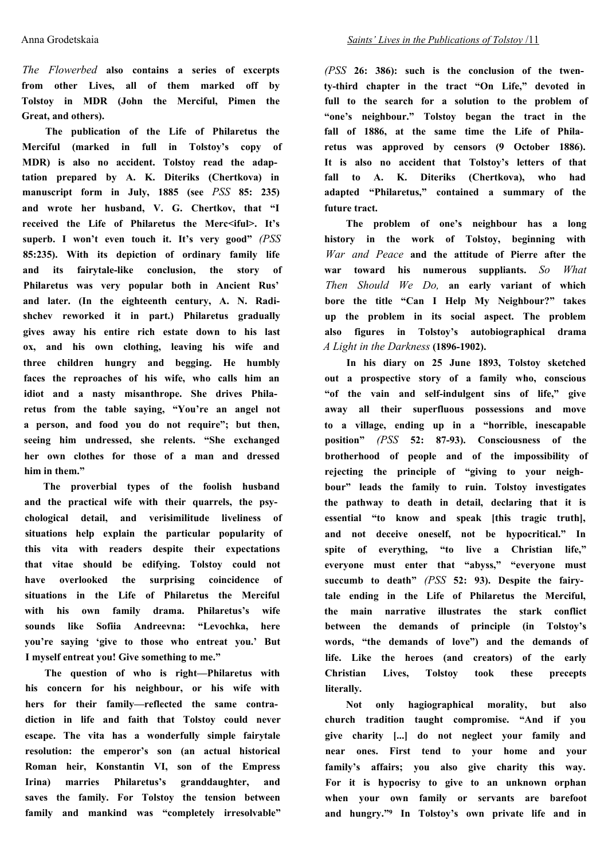*The Flowerbed* **also contains a series of excerpts from other Lives, all of them marked off by Tolstoy in MDR (John the Merciful, Pimen the Great, and others).**

**The publication of the Life of Philaretus the Merciful (marked in full in Tolstoy's copy of MDR) is also no accident. Tolstoy read the adaptation prepared by A. K. Diteriks (Chertkova) in manuscript form in July, 1885 (see** *PSS* **85: 235) and wrote her husband, V. G. Chertkov, that "I received the Life of Philaretus the Merc<iful>. It's superb. I won't even touch it. It's very good"** *(PSS* **85:235). With its depiction of ordinary family life and its fairytale-like conclusion, the story of Philaretus was very popular both in Ancient Rus' and later. (In the eighteenth century, A. N. Radishchev reworked it in part.) Philaretus gradually gives away his entire rich estate down to his last ox, and his own clothing, leaving his wife and three children hungry and begging. He humbly faces the reproaches of his wife, who calls him an idiot and a nasty misanthrope. She drives Philaretus from the table saying, "You're an angel not a person, and food you do not require"; but then, seeing him undressed, she relents. "She exchanged her own clothes for those of a man and dressed him in them."**

**The proverbial types of the foolish husband and the practical wife with their quarrels, the psychological detail, and verisimilitude liveliness of situations help explain the particular popularity of this vita with readers despite their expectations that vitae should be edifying. Tolstoy could not have overlooked the surprising coincidence of situations in the Life of Philaretus the Merciful with his own family drama. Philaretus's wife sounds like Sofiia Andreevna: "Levochka, here you're saying 'give to those who entreat you.' But I myself entreat you! Give something to me."**

**The question of who is right—Philaretus with his concern for his neighbour, or his wife with hers for their family—reflected the same contradiction in life and faith that Tolstoy could never escape. The vita has a wonderfully simple fairytale resolution: the emperor's son (an actual historical Roman heir, Konstantin VI, son of the Empress Irina) marries Philaretus's granddaughter, and saves the family. For Tolstoy the tension between family and mankind was "completely irresolvable"** *(PSS* **26: 386): such is the conclusion of the twenty-third chapter in the tract "On Life," devoted in full to the search for a solution to the problem of "one's neighbour." Tolstoy began the tract in the fall of 1886, at the same time the Life of Philaretus was approved by censors (9 October 1886). It is also no accident that Tolstoy's letters of that fall to A. K. Diteriks (Chertkova), who had adapted "Philaretus," contained a summary of the future tract.**

**The problem of one's neighbour has a long history in the work of Tolstoy, beginning with** *War and Peace* **and the attitude of Pierre after the war toward his numerous suppliants.** *So What Then Should We Do,* **an early variant of which bore the title "Can I Help My Neighbour?" takes up the problem in its social aspect. The problem also figures in Tolstoy's autobiographical drama** *A Light in the Darkness* **(1896-1902).**

**In his diary on 25 June 1893, Tolstoy sketched out a prospective story of a family who, conscious "of the vain and self-indulgent sins of life," give away all their superfluous possessions and move to a village, ending up in a "horrible, inescapable position"** *(PSS* **52: 87-93). Consciousness of the brotherhood of people and of the impossibility of rejecting the principle of "giving to your neighbour" leads the family to ruin. Tolstoy investigates the pathway to death in detail, declaring that it is essential "to know and speak [this tragic truth], and not deceive oneself, not be hypocritical." In spite of everything, "to live a Christian life," everyone must enter that "abyss," "everyone must succumb to death"** *(PSS* **52: 93). Despite the fairytale ending in the Life of Philaretus the Merciful, the main narrative illustrates the stark conflict between the demands of principle (in Tolstoy's words, "the demands of love") and the demands of life. Like the heroes (and creators) of the early Christian Lives, Tolstoy took these precepts literally.**

**Not only hagiographical morality, but also church tradition taught compromise. "And if you give charity [...] do not neglect your family and near ones. First tend to your home and your family's affairs; you also give charity this way. For it is hypocrisy to give to an unknown orphan when your own family or servants are barefoot and hungry."9 In Tolstoy's own private life and in**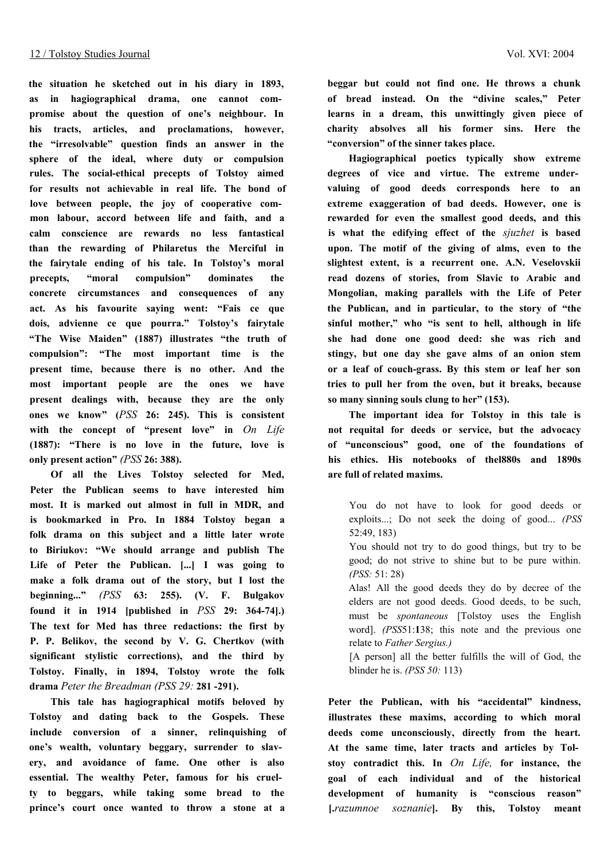**the situation he sketched out in his diary in 1893, as in hagiographical drama, one cannot compromise about the question of one's neighbour. In his tracts, articles, and proclamations, however, the "irresolvable" question finds an answer in the sphere of the ideal, where duty or compulsion rules. The social-ethical precepts of Tolstoy aimed for results not achievable in real life. The bond of love between people, the joy of cooperative common labour, accord between life and faith, and a calm conscience are rewards no less fantastical than the rewarding of Philaretus the Merciful in the fairytale ending of his tale. In Tolstoy's moral precepts, "moral compulsion" dominates the concrete circumstances and consequences of any act. As his favourite saying went: "Fais ce que dois, advienne ce que pourra." Tolstoy's fairytale "The Wise Maiden" (1887) illustrates "the truth of compulsion": "The most important time is the present time, because there is no other. And the most important people are the ones we have present dealings with, because they are the only ones we know" (***PSS* **26: 245). This is consistent with the concept of "present love" in** *On Life* **(1887): "There is no love in the future, love is only present action"** *(PSS* **26: 388).**

**Of all the Lives Tolstoy selected for Med, Peter the Publican seems to have interested him most. It is marked out almost in full in MDR, and is bookmarked in Pro. In 1884 Tolstoy began a folk drama on this subject and a little later wrote to Biriukov: "We should arrange and publish The Life of Peter the Publican. [...] I was going to make a folk drama out of the story, but I lost the beginning..."** *(PSS* **63: 255). (V. F. Bulgakov found it in 1914 [published in** *PSS* **29: 364-74].) The text for Med has three redactions: the first by P. P. Belikov, the second by V. G. Chertkov (with significant stylistic corrections), and the third by Tolstoy. Finally, in 1894, Tolstoy wrote the folk drama** *Peter the Breadman (PSS 29:* **281 -291).**

**This tale has hagiographical motifs beloved by Tolstoy and dating back to the Gospels. These include conversion of a sinner, relinquishing of one's wealth, voluntary beggary, surrender to slavery, and avoidance of fame. One other is also essential. The wealthy Peter, famous for his cruelty to beggars, while taking some bread to the prince's court once wanted to throw a stone at a**

**beggar but could not find one. He throws a chunk of bread instead. On the "divine scales," Peter learns in a dream, this unwittingly given piece of charity absolves all his former sins. Here the "conversion" of the sinner takes place.**

**Hagiographical poetics typically show extreme degrees of vice and virtue. The extreme undervaluing of good deeds corresponds here to an extreme exaggeration of bad deeds. However, one is rewarded for even the smallest good deeds, and this is what the edifying effect of the** *sjuzhet* **is based upon. The motif of the giving of alms, even to the slightest extent, is a recurrent one. A.N. Veselovskii read dozens of stories, from Slavic to Arabic and Mongolian, making parallels with the Life of Peter the Publican, and in particular, to the story of "the sinful mother," who "is sent to hell, although in life she had done one good deed: she was rich and stingy, but one day she gave alms of an onion stem or a leaf of couch-grass. By this stem or leaf her son tries to pull her from the oven, but it breaks, because so many sinning souls clung to her" (153).**

**The important idea for Tolstoy in this tale is not requital for deeds or service, but the advocacy of "unconscious" good, one of the foundations of his ethics. His notebooks of thel880s and 1890s are full of related maxims.**

You do not have to look for good deeds or exploits...; Do not seek the doing of good... *(PSS* 52:49, 183)

You should not try to do good things, but try to be good; do not strive to shine but to be pure within. *(PSS:* 51: 28)

Alas! All the good deeds they do by decree of the elders are not good deeds. Good deeds, to be such, must be *spontaneous* [Tolstoy uses the English word]. *(PSS*51:**1**38; this note and the previous one relate to *Father Sergius.)*

[A person] all the better fulfills the will of God, the blinder he is. *(PSS 50:* 113)

**Peter the Publican, with his "accidental" kindness, illustrates these maxims, according to which moral deeds come unconsciously, directly from the heart. At the same time, later tracts and articles by Tolstoy contradict this. In** *On Life,* **for instance, the goal of each individual and of the historical development of humanity is "conscious reason" [.***razumnoe soznanie***]. By this, Tolstoy meant**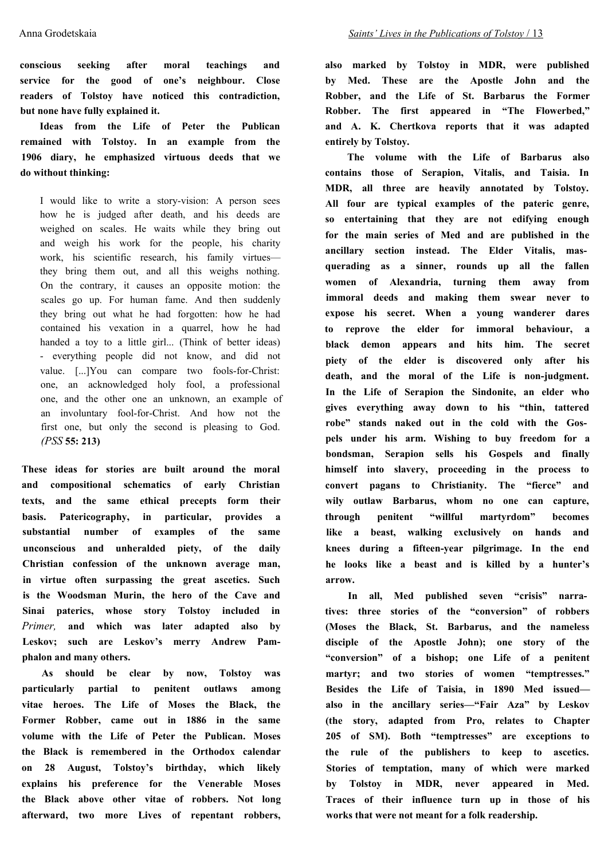**conscious seeking after moral teachings and service for the good of one's neighbour. Close readers of Tolstoy have noticed this contradiction, but none have fully explained it.**

**Ideas from the Life of Peter the Publican remained with Tolstoy. In an example from the 1906 diary, he emphasized virtuous deeds that we do without thinking:**

I would like to write a story-vision: A person sees how he is judged after death, and his deeds are weighed on scales. He waits while they bring out and weigh his work for the people, his charity work, his scientific research, his family virtues they bring them out, and all this weighs nothing. On the contrary, it causes an opposite motion: the scales go up. For human fame. And then suddenly they bring out what he had forgotten: how he had contained his vexation in a quarrel, how he had handed a toy to a little girl... (Think of better ideas) - everything people did not know, and did not value. [...]You can compare two fools-for-Christ: one, an acknowledged holy fool, a professional one, and the other one an unknown, an example of an involuntary fool-for-Christ. And how not the first one, but only the second is pleasing to God. *(PSS* **55: 213)**

**These ideas for stories are built around the moral and compositional schematics of early Christian texts, and the same ethical precepts form their basis. Patericography, in particular, provides a substantial number of examples of the same unconscious and unheralded piety, of the daily Christian confession of the unknown average man, in virtue often surpassing the great ascetics. Such is the Woodsman Murin, the hero of the Cave and Sinai paterics, whose story Tolstoy included in** *Primer,* **and which was later adapted also by Leskov; such are Leskov's merry Andrew Pamphalon and many others.**

**As should be clear by now, Tolstoy was particularly partial to penitent outlaws among vitae heroes. The Life of Moses the Black, the Former Robber, came out in 1886 in the same volume with the Life of Peter the Publican. Moses the Black is remembered in the Orthodox calendar on 28 August, Tolstoy's birthday, which likely explains his preference for the Venerable Moses the Black above other vitae of robbers. Not long afterward, two more Lives of repentant robbers,** **also marked by Tolstoy in MDR, were published by Med. These are the Apostle John and the Robber, and the Life of St. Barbarus the Former Robber. The first appeared in "The Flowerbed," and A. K. Chertkova reports that it was adapted entirely by Tolstoy.**

**The volume with the Life of Barbarus also contains those of Serapion, Vitalis, and Taisia. In MDR, all three are heavily annotated by Tolstoy. All four are typical examples of the pateric genre, so entertaining that they are not edifying enough for the main series of Med and are published in the ancillary section instead. The Elder Vitalis, masquerading as a sinner, rounds up all the fallen women of Alexandria, turning them away from immoral deeds and making them swear never to expose his secret. When a young wanderer dares to reprove the elder for immoral behaviour, a black demon appears and hits him. The secret piety of the elder is discovered only after his death, and the moral of the Life is non-judgment. In the Life of Serapion the Sindonite, an elder who gives everything away down to his "thin, tattered robe" stands naked out in the cold with the Gospels under his arm. Wishing to buy freedom for a bondsman, Serapion sells his Gospels and finally himself into slavery, proceeding in the process to convert pagans to Christianity. The "fierce" and wily outlaw Barbarus, whom no one can capture, through penitent "willful martyrdom" becomes like a beast, walking exclusively on hands and knees during a fifteen-year pilgrimage. In the end he looks like a beast and is killed by a hunter's arrow.**

**In all, Med published seven "crisis" narratives: three stories of the "conversion" of robbers (Moses the Black, St. Barbarus, and the nameless disciple of the Apostle John); one story of the "conversion" of a bishop; one Life of a penitent martyr; and two stories of women "temptresses." Besides the Life of Taisia, in 1890 Med issued also in the ancillary series—"Fair Aza" by Leskov (the story, adapted from Pro, relates to Chapter 205 of SM). Both "temptresses" are exceptions to the rule of the publishers to keep to ascetics. Stories of temptation, many of which were marked by Tolstoy in MDR, never appeared in Med. Traces of their influence turn up in those of his works that were not meant for a folk readership.**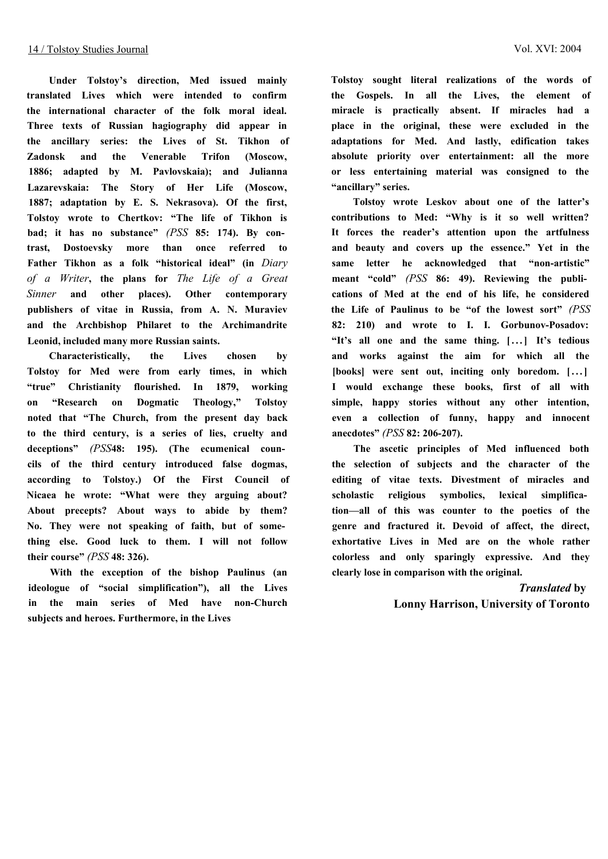**Under Tolstoy's direction, Med issued mainly translated Lives which were intended to confirm the international character of the folk moral ideal. Three texts of Russian hagiography did appear in the ancillary series: the Lives of St. Tikhon of Zadonsk and the Venerable Trifon (Moscow, 1886; adapted by M. Pavlovskaia); and Julianna Lazarevskaia: The Story of Her Life (Moscow, 1887; adaptation by E. S. Nekrasova). Of the first, Tolstoy wrote to Chertkov: "The life of Tikhon is bad; it has no substance"** *(PSS* **85: 174). By contrast, Dostoevsky more than once referred to Father Tikhon as a folk "historical ideal" (in** *Diary of a Writer***, the plans for** *The Life of a Great Sinner* **and other places). Other contemporary publishers of vitae in Russia, from A. N. Muraviev and the Archbishop Philaret to the Archimandrite Leonid, included many more Russian saints.**

**Characteristically, the Lives chosen by Tolstoy for Med were from early times, in which "true" Christianity flourished. In 1879, working on "Research on Dogmatic Theology," Tolstoy noted that "The Church, from the present day back to the third century, is a series of lies, cruelty and deceptions"** *(PSS***48: 195). (The ecumenical councils of the third century introduced false dogmas, according to Tolstoy.) Of the First Council of Nicaea he wrote: "What were they arguing about? About precepts? About ways to abide by them? No. They were not speaking of faith, but of something else. Good luck to them. I will not follow their course"** *(PSS* **48: 326).**

**With the exception of the bishop Paulinus (an ideologue of "social simplification"), all the Lives in the main series of Med have non-Church subjects and heroes. Furthermore, in the Lives**

**Tolstoy sought literal realizations of the words of the Gospels. In all the Lives, the element of miracle is practically absent. If miracles had a place in the original, these were excluded in the adaptations for Med. And lastly, edification takes absolute priority over entertainment: all the more or less entertaining material was consigned to the "ancillary" series.**

**Tolstoy wrote Leskov about one of the latter's contributions to Med: "Why is it so well written? It forces the reader's attention upon the artfulness and beauty and covers up the essence." Yet in the same letter he acknowledged that "non-artistic" meant "cold"** *(PSS* **86: 49). Reviewing the publications of Med at the end of his life, he considered the Life of Paulinus to be "of the lowest sort"** *(PSS* **82: 210) and wrote to I. I. Gorbunov-Posadov: "It's all one and the same thing. [...] It's tedious and works against the aim for which all the [books] were sent out, inciting only boredom. [...] I would exchange these books, first of all with simple, happy stories without any other intention, even a collection of funny, happy and innocent anecdotes"** *(PSS* **82: 206-207).**

**The ascetic principles of Med influenced both the selection of subjects and the character of the editing of vitae texts. Divestment of miracles and scholastic religious symbolics, lexical simplification—all of this was counter to the poetics of the genre and fractured it. Devoid of affect, the direct, exhortative Lives in Med are on the whole rather colorless and only sparingly expressive. And they clearly lose in comparison with the original.**

> *Translated* **by Lonny Harrison, University of Toronto**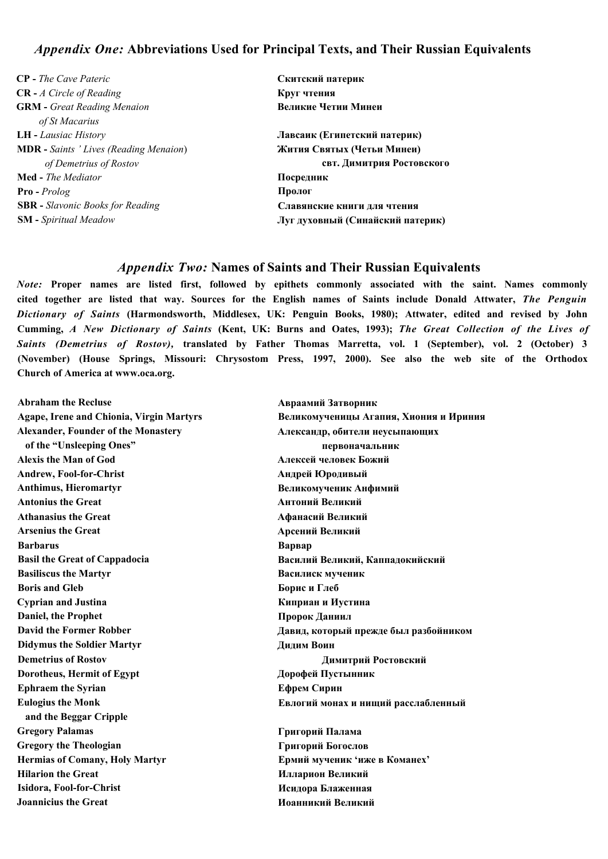#### *Appendix One:* **Abbreviations Used for Principal Texts, and Their Russian Equivalents**

- **CP** *The Cave Pateric* **CR -** *A Circle of Reading* **GRM -** *Great Reading Menaion of St Macarius* **LH -** *Lausiac History* **MDR -** *Saints ' Lives (Reading Menaion*) *of Demetrius of Rostov* **Med -** *The Mediator* **Pro -** *Prolog* **SBR -** *Slavonic Books for Reading* **SM -** *Spiritual Meadow*
- **Скитский патерик Круг чтения Великие Четии Минеи Лавсаик (Египетский патерик) Жития Святых (Четьи Минеи) свт. Димитрия Ростовского Посредник Пролог Славянские книги для чтения Луг духовный (Синайский патерик)**

#### *Appendix Two:* **Names of Saints and Their Russian Equivalents**

*Note:* **Proper names are listed first, followed by epithets commonly associated with the saint. Names commonly cited together are listed that way. Sources for the English names of Saints include Donald Attwater,** *The Penguin Dictionary of Saints* **(Harmondsworth, Middlesex, UK: Penguin Books, 1980); Attwater, edited and revised by John Cumming,** *A New Dictionary of Saints* **(Kent, UK: Burns and Oates, 1993);** *The Great Collection of the Lives of Saints (Demetrius of Rostov),* **translated by Father Thomas Marretta, vol. 1 (September), vol. 2 (October) 3 (November) (House Springs, Missouri: Chrysostom Press, 1997, 2000). See also the web site of the Orthodox Church of America at [www.oca.org.](http://www.oca.org)**

**Abraham the Recluse Agape, Irene and Chionia, Virgin Martyrs Alexander, Founder of the Monastery of the "Unsleeping Ones" Alexis the Man of God Andrew, Fool-for-Christ Anthimus, Hieromartyr Antonius the Great Athanasius the Great Arsenius the Great Barbarus Basil the Great of Cappadocia Basiliscus the Martyr Boris and Gleb Cyprian and Justina Daniel, the Prophet David the Former Robber Didymus the Soldier Martyr Demetrius of Rostov Dorotheus, Hermit of Egypt Ephraem the Syrian Eulogius the Monk and the Beggar Cripple Gregory Palamas Gregory the Theologian Hermias of Comany, Holy Martyr Hilarion the Great Isidora, Fool-for-Christ Joannicius the Great**

**Авраамий Затворник Великомученицы Агапия, Хиония и Ириния Александр, обители неусыпающих первоначальник Алексей человек Божий Андрей Юродивый Великомученик Анфимий Антоний Великий Афанасий Великий Арсений Великий Варвар Василий Великий, Каппадокийский Василиск мученик Борис и Глеб Киприан и Иустина Пророк Даниил Давид, который прежде был разбойником Дидим Воин Димитрий Ростовский Дорофей Пустынник Ефрем Сирин Евлогий монах и нищий расслабленный Григорий Палама Григорий Богослов**

**Ермий мученик 'иже в Команех' Илларион Великий Исидора Блаженная Иоанникий Великий**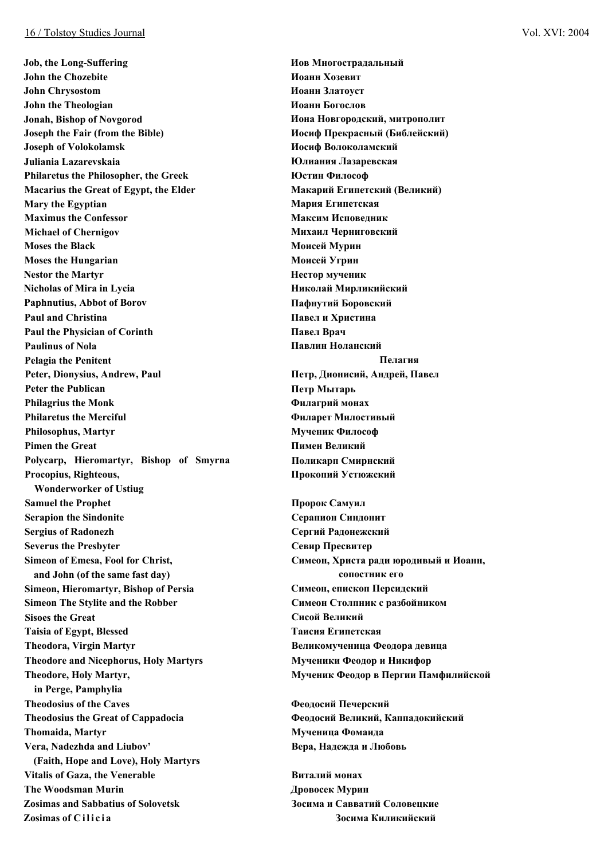**Job, the Long-Suffering John the Chozebite John Chrysostom John the Theologian Jonah, Bishop of Novgorod Joseph the Fair (from the Bible) Joseph of Volokolamsk Juliania Lazarevskaia Philaretus the Philosopher, the Greek Macarius the Great of Egypt, the Elder Mary the Egyptian Maximus the Confessor Michael of Chernigov Moses the Black Moses the Hungarian Nestor the Martyr Nicholas of Mira in Lycia Paphnutius, Abbot of Borov Paul and Christina Paul the Physician of Corinth Paulinus of Nola Pelagia the Penitent Peter, Dionysius, Andrew, Paul Peter the Publican Philagrius the Monk Philaretus the Merciful Philosophus, Martyr Pimen the Great Polycarp, Hieromartyr, Bishop of Smyrna Procopius, Righteous, Wonderworker of Ustiug Samuel the Prophet Serapion the Sindonite Sergius of Radonezh Severus the Presbyter Simeon of Emesa, Fool for Christ, and John (of the same fast day) Simeon, Hieromartyr, Bishop of Persia Simeon The Stylite and the Robber Sisoes the Great Taisia of Egypt, Blessed Theodora, Virgin Martyr Theodore and Nicephorus, Holy Martyrs Theodore, Holy Martyr, in Perge, Pamphylia Theodosius of the Caves Theodosius the Great of Cappadocia Thomaida, Martyr Vera, Nadezhda and Liubov' (Faith, Hope and Love), Holy Martyrs Vitalis of Gaza, the Venerable The Woodsman Murin Zosimas and Sabbatius of Solovetsk Zosimas of Cilicia**

**Иов Многострадальный Иоанн Хозевит Иоанн Златоуст Иоанн Богослов Иона Новгородский, митрополит Иосиф Прекрасный (Библейский) Иосиф Волоколамский Юлиания Лазаревская Юстин Философ Макарий Египетский (Великий) Мария Египетская Максим Исповедник Михаил Черниговский Моисей Мурин Моисей Угрин Нестор мученик Николай Мирликийский Пафнутий Боровский Павел и Христина Павел Врач Павлин Ноланский Пелагия Петр, Дионисий, Андрей, Павел Петр Мытарь Филагрий монах Филарет Милостивый Мученик Философ Пимен Великий Поликарп Смирнский Прокопий Устюжский Пророк Самуил Серапион Синдонит Сергий Радонежский Севир Пресвитер Симеон, Христа ради юродивый и Иоанн, сопостник его Симеон, епископ Персидский Симеон Столпник с разбойником Сисой Великий Таисия Египетская Великомученица Феодора девица Мученики Феодор и Никифор Мученик Феодор в Пергии Памфилийской**

**Феодосий Печерский Феодосий Великий, Каппадокийский Мученица Фомаида Вера, Надежда и Любовь**

**Виталий монах Дровосек Мурин Зосима и Савватий Соловецкие Зосима Киликийский**